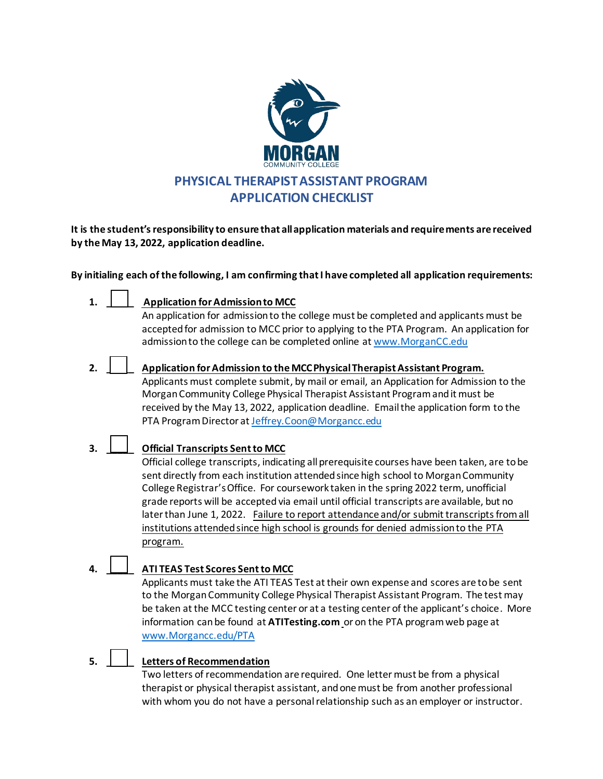

**It is the student's responsibility to ensure that all application materials and requirements are received by the May 13, 2022, application deadline.** 

**By initialing each of the following, I am confirming that I have completed all application requirements:**

**1. \_\_\_\_\_ Application for Admission to MCC**

An application for admission to the college must be completed and applicants must be accepted for admission to MCC prior to applying to the PTA Program. An application for admission to the college can be completed online a[t www.MorganCC.edu](http://www.morgancc.edu/)

- **2. \_\_\_\_\_ Application for Admission to the MCC Physical Therapist Assistant Program.** Applicants must complete submit, by mail or email, an Application for Admission to the Morgan Community College Physical Therapist Assistant Program and it must be received by the May 13, 2022, application deadline. Email the application form to the PTA Program Director a[t Jeffrey.Coon@Morgancc.edu](mailto:Jeffrey.Coon@Morgancc.edu)
- **3. \_\_\_\_\_ Official Transcripts Sent to MCC**

Official college transcripts, indicating all prerequisite courses have been taken, are to be sent directly from each institution attended since high school to Morgan Community College Registrar'sOffice. For coursework taken in the spring 2022 term, unofficial grade reports will be accepted via email until official transcripts are available, but no later than June 1, 2022. Failure to report attendance and/or submit transcripts from all institutions attended since high school is grounds for denied admission to the PTA program.

**4. \_\_\_\_\_ ATI TEAS Test Scores Sent to MCC**

Applicants must take the ATI TEAS Test at their own expense and scores are to be sent to the Morgan Community College Physical Therapist Assistant Program. The test may be taken at the MCC testing center or at a testing center of the applicant's choice. More information can be found at **ATITesting.com** or on the PTA program web page at [www.Morgancc.edu/PTA](http://www.morgancc.edu/PTA) 

**5. \_\_\_\_\_ Letters of Recommendation** 

Two letters of recommendation are required. One letter must be from a physical therapist or physical therapist assistant, and one must be from another professional with whom you do not have a personal relationship such as an employer or instructor.